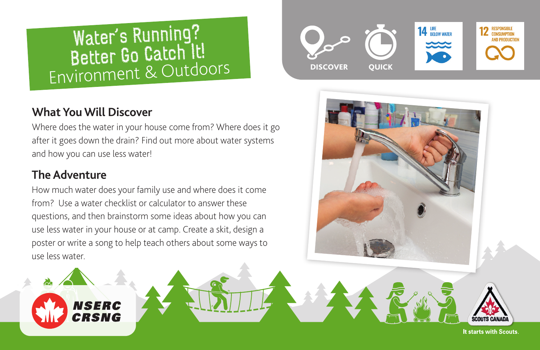# Water's Running? Better Go Catch It! Environment & Outdoors DISCOVER QUICK

# **What You Will Discover**

**NSERC** CRSNG

Where does the water in your house come from? Where does it go after it goes down the drain? Find out more about water systems and how you can use less water!

# **The Adventure**

How much water does your family use and where does it come from? Use a water checklist or calculator to answer these questions, and then brainstorm some ideas about how you can use less water in your house or at camp. Create a skit, design a poster or write a song to help teach others about some ways to use less water.





It starts with Scouts.